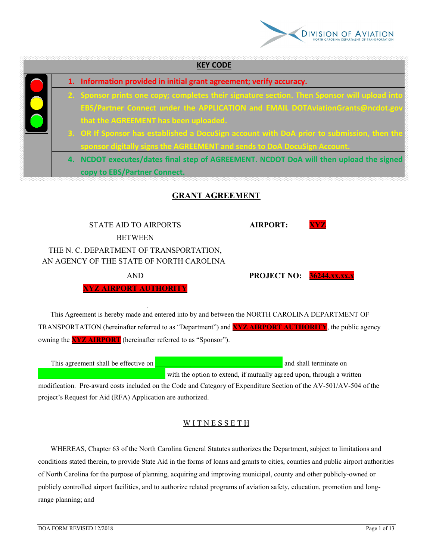

|  | 1. Information provided in initial grant agreement; verify accuracy.                         |
|--|----------------------------------------------------------------------------------------------|
|  | 2. Sponsor prints one copy; completes their signature section. Then Sponsor will upload into |
|  | EBS/Partner Connect under the APPLICATION and EMAIL DOTAviationGrants@ncdot.gov              |
|  | that the AGREEMENT has been uploaded.                                                        |
|  | 3. OR If Sponsor has established a DocuSign account with DoA prior to submission, then the   |
|  | sponsor digitally signs the AGREEMENT and sends to DoA DocuSign Account.                     |
|  | 4. NCDOT executes/dates final step of AGREEMENT. NCDOT DoA will then upload the signed       |
|  | copy to EBS/Partner Connect.                                                                 |

STATE AID TO AIRPORTS **AIRPORT: BETWEEN** THE N. C. DEPARTMENT OF TRANSPORTATION, AN AGENCY OF THE STATE OF NORTH CAROLINA

**XYZ AIRPORT AUTHORITY**

AND **PROJECT NO: 36244.xx.xx.x**

 This Agreement is hereby made and entered into by and between the NORTH CAROLINA DEPARTMENT OF TRANSPORTATION (hereinafter referred to as "Department") and **XYZ AIRPORT AUTHORITY**, the public agency owning the **XYZ AIRPORT** (hereinafter referred to as "Sponsor").

This agreement shall be effective on **a** matrix of the state of the state of the state on **a** and shall terminate on with the option to extend, if mutually agreed upon, through a written

modification. Pre-award costs included on the Code and Category of Expenditure Section of the AV-501/AV-504 of the project's Request for Aid (RFA) Application are authorized.

# WITNESSETH

 WHEREAS, Chapter 63 of the North Carolina General Statutes authorizes the Department, subject to limitations and conditions stated therein, to provide State Aid in the forms of loans and grants to cities, counties and public airport authorities of North Carolina for the purpose of planning, acquiring and improving municipal, county and other publicly-owned or publicly controlled airport facilities, and to authorize related programs of aviation safety, education, promotion and longrange planning; and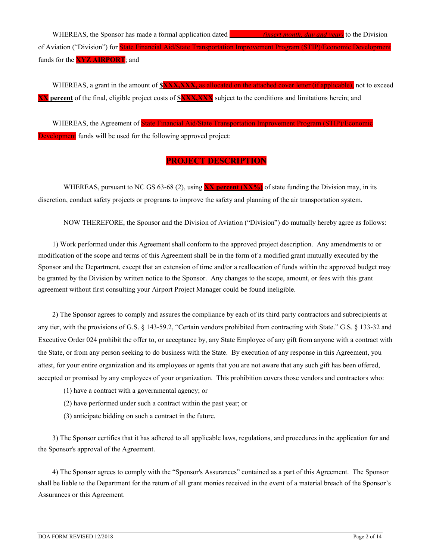WHEREAS, the Sponsor has made a formal application dated **\_\_\_\_\_\_\_\_\_** *(insert month, day and year)* to the Division of Aviation ("Division") for State Financial Aid/State Transportation Improvement Program (STIP)/Economic Development funds for the **XYZ AIRPORT**; and

WHEREAS, a grant in the amount of **\$XXX,XXX**, as allocated on the attached cover letter (if applicable), not to exceed **XX percent** of the final, eligible project costs of **\$XXX,XXX** subject to the conditions and limitations herein; and

 WHEREAS, the Agreement of State Financial Aid/State Transportation Improvement Program (STIP)/Economic **Development** funds will be used for the following approved project:

# **PROJECT DESCRIPTION**

WHEREAS, pursuant to NC GS 63-68 (2), using **XX** percent (XX%) of state funding the Division may, in its discretion, conduct safety projects or programs to improve the safety and planning of the air transportation system.

NOW THEREFORE, the Sponsor and the Division of Aviation ("Division") do mutually hereby agree as follows:

 1) Work performed under this Agreement shall conform to the approved project description. Any amendments to or modification of the scope and terms of this Agreement shall be in the form of a modified grant mutually executed by the Sponsor and the Department, except that an extension of time and/or a reallocation of funds within the approved budget may be granted by the Division by written notice to the Sponsor. Any changes to the scope, amount, or fees with this grant agreement without first consulting your Airport Project Manager could be found ineligible.

 2) The Sponsor agrees to comply and assures the compliance by each of its third party contractors and subrecipients at any tier, with the provisions of G.S. § 143-59.2, "Certain vendors prohibited from contracting with State." G.S. § 133-32 and Executive Order 024 prohibit the offer to, or acceptance by, any State Employee of any gift from anyone with a contract with the State, or from any person seeking to do business with the State. By execution of any response in this Agreement, you attest, for your entire organization and its employees or agents that you are not aware that any such gift has been offered, accepted or promised by any employees of your organization. This prohibition covers those vendors and contractors who:

- (1) have a contract with a governmental agency; or
- (2) have performed under such a contract within the past year; or
- (3) anticipate bidding on such a contract in the future.

 3) The Sponsor certifies that it has adhered to all applicable laws, regulations, and procedures in the application for and the Sponsor's approval of the Agreement.

 4) The Sponsor agrees to comply with the "Sponsor's Assurances" contained as a part of this Agreement. The Sponsor shall be liable to the Department for the return of all grant monies received in the event of a material breach of the Sponsor's Assurances or this Agreement.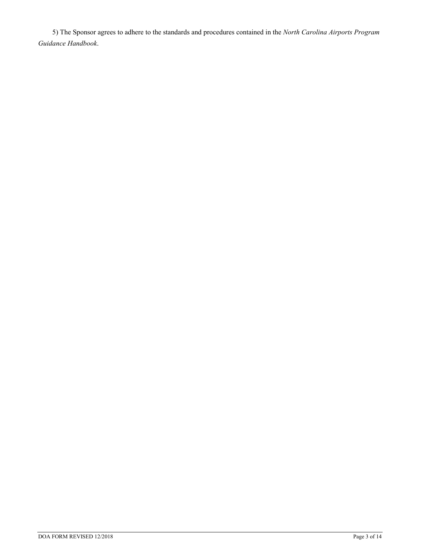5) The Sponsor agrees to adhere to the standards and procedures contained in the *North Carolina Airports Program Guidance Handbook*.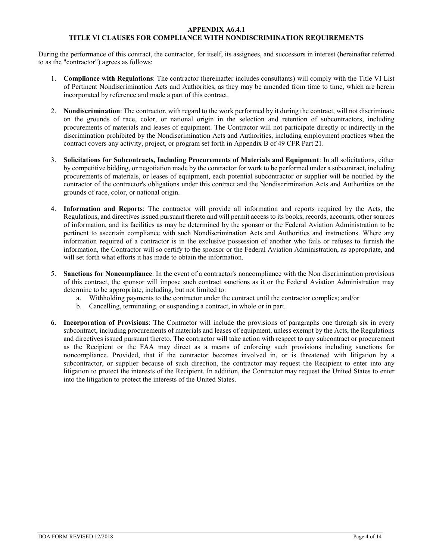#### **APPENDIX A6.4.1**

## **TITLE VI CLAUSES FOR COMPLIANCE WITH NONDISCRIMINATION REQUIREMENTS**

During the performance of this contract, the contractor, for itself, its assignees, and successors in interest (hereinafter referred to as the "contractor") agrees as follows:

- 1. **Compliance with Regulations**: The contractor (hereinafter includes consultants) will comply with the Title VI List of Pertinent Nondiscrimination Acts and Authorities, as they may be amended from time to time, which are herein incorporated by reference and made a part of this contract.
- 2. **Nondiscrimination**: The contractor, with regard to the work performed by it during the contract, will not discriminate on the grounds of race, color, or national origin in the selection and retention of subcontractors, including procurements of materials and leases of equipment. The Contractor will not participate directly or indirectly in the discrimination prohibited by the Nondiscrimination Acts and Authorities, including employment practices when the contract covers any activity, project, or program set forth in Appendix B of 49 CFR Part 21.
- 3. **Solicitations for Subcontracts, Including Procurements of Materials and Equipment**: In all solicitations, either by competitive bidding, or negotiation made by the contractor for work to be performed under a subcontract, including procurements of materials, or leases of equipment, each potential subcontractor or supplier will be notified by the contractor of the contractor's obligations under this contract and the Nondiscrimination Acts and Authorities on the grounds of race, color, or national origin.
- 4. **Information and Reports**: The contractor will provide all information and reports required by the Acts, the Regulations, and directives issued pursuant thereto and will permit access to its books, records, accounts, other sources of information, and its facilities as may be determined by the sponsor or the Federal Aviation Administration to be pertinent to ascertain compliance with such Nondiscrimination Acts and Authorities and instructions. Where any information required of a contractor is in the exclusive possession of another who fails or refuses to furnish the information, the Contractor will so certify to the sponsor or the Federal Aviation Administration, as appropriate, and will set forth what efforts it has made to obtain the information.
- 5. **Sanctions for Noncompliance**: In the event of a contractor's noncompliance with the Non discrimination provisions of this contract, the sponsor will impose such contract sanctions as it or the Federal Aviation Administration may determine to be appropriate, including, but not limited to:
	- a. Withholding payments to the contractor under the contract until the contractor complies; and/or
	- b. Cancelling, terminating, or suspending a contract, in whole or in part.
- **6. Incorporation of Provisions**: The Contractor will include the provisions of paragraphs one through six in every subcontract, including procurements of materials and leases of equipment, unless exempt by the Acts, the Regulations and directives issued pursuant thereto. The contractor will take action with respect to any subcontract or procurement as the Recipient or the FAA may direct as a means of enforcing such provisions including sanctions for noncompliance. Provided, that if the contractor becomes involved in, or is threatened with litigation by a subcontractor, or supplier because of such direction, the contractor may request the Recipient to enter into any litigation to protect the interests of the Recipient. In addition, the Contractor may request the United States to enter into the litigation to protect the interests of the United States.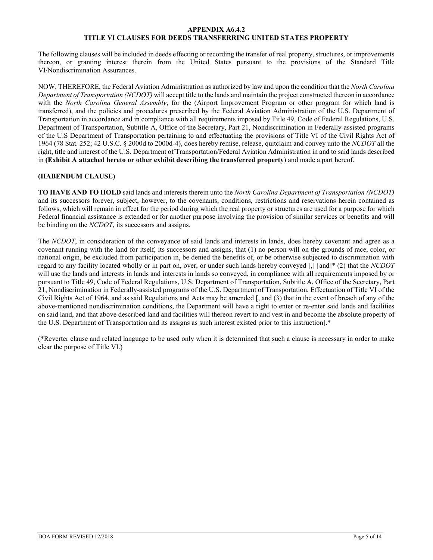#### **APPENDIX A6.4.2 TITLE VI CLAUSES FOR DEEDS TRANSFERRING UNITED STATES PROPERTY**

The following clauses will be included in deeds effecting or recording the transfer of real property, structures, or improvements thereon, or granting interest therein from the United States pursuant to the provisions of the Standard Title VI/Nondiscrimination Assurances.

NOW, THEREFORE, the Federal Aviation Administration as authorized by law and upon the condition that the *North Carolina Department of Transportation (NCDOT)* will accept title to the lands and maintain the project constructed thereon in accordance with the *North Carolina General Assembly*, for the (Airport Improvement Program or other program for which land is transferred), and the policies and procedures prescribed by the Federal Aviation Administration of the U.S. Department of Transportation in accordance and in compliance with all requirements imposed by Title 49, Code of Federal Regulations, U.S. Department of Transportation, Subtitle A, Office of the Secretary, Part 21, Nondiscrimination in Federally-assisted programs of the U.S Department of Transportation pertaining to and effectuating the provisions of Title VI of the Civil Rights Act of 1964 (78 Stat. 252; 42 U.S.C. § 2000d to 2000d-4), does hereby remise, release, quitclaim and convey unto the *NCDOT* all the right, title and interest of the U.S. Department of Transportation/Federal Aviation Administration in and to said lands described in **(Exhibit A attached hereto or other exhibit describing the transferred property**) and made a part hereof.

### **(HABENDUM CLAUSE)**

**TO HAVE AND TO HOLD** said lands and interests therein unto the *North Carolina Department of Transportation (NCDOT)* and its successors forever, subject, however, to the covenants, conditions, restrictions and reservations herein contained as follows, which will remain in effect for the period during which the real property or structures are used for a purpose for which Federal financial assistance is extended or for another purpose involving the provision of similar services or benefits and will be binding on the *NCDOT*, its successors and assigns.

The *NCDOT*, in consideration of the conveyance of said lands and interests in lands, does hereby covenant and agree as a covenant running with the land for itself, its successors and assigns, that (1) no person will on the grounds of race, color, or national origin, be excluded from participation in, be denied the benefits of, or be otherwise subjected to discrimination with regard to any facility located wholly or in part on, over, or under such lands hereby conveyed [,] [and]\* (2) that the *NCDOT* will use the lands and interests in lands and interests in lands so conveyed, in compliance with all requirements imposed by or pursuant to Title 49, Code of Federal Regulations, U.S. Department of Transportation, Subtitle A, Office of the Secretary, Part 21, Nondiscrimination in Federally-assisted programs of the U.S. Department of Transportation, Effectuation of Title VI of the Civil Rights Act of 1964, and as said Regulations and Acts may be amended [, and (3) that in the event of breach of any of the above-mentioned nondiscrimination conditions, the Department will have a right to enter or re-enter said lands and facilities on said land, and that above described land and facilities will thereon revert to and vest in and become the absolute property of the U.S. Department of Transportation and its assigns as such interest existed prior to this instruction].\*

(\*Reverter clause and related language to be used only when it is determined that such a clause is necessary in order to make clear the purpose of Title VI.)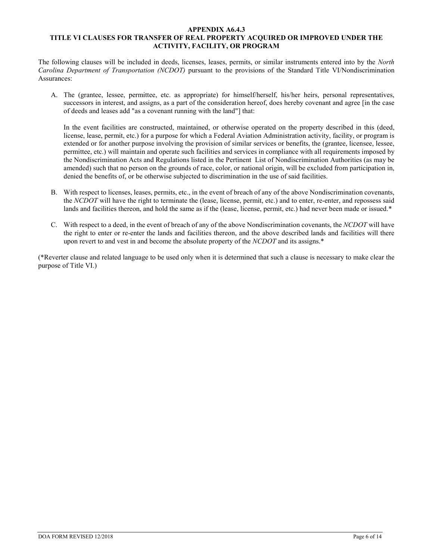#### **APPENDIX A6.4.3 TITLE VI CLAUSES FOR TRANSFER OF REAL PROPERTY ACQUIRED OR IMPROVED UNDER THE ACTIVITY, FACILITY, OR PROGRAM**

The following clauses will be included in deeds, licenses, leases, permits, or similar instruments entered into by the *North Carolina Department of Transportation (NCDOT)* pursuant to the provisions of the Standard Title VI/Nondiscrimination Assurances:

A. The (grantee, lessee, permittee, etc. as appropriate) for himself/herself, his/her heirs, personal representatives, successors in interest, and assigns, as a part of the consideration hereof, does hereby covenant and agree [in the case of deeds and leases add "as a covenant running with the land"] that:

In the event facilities are constructed, maintained, or otherwise operated on the property described in this (deed, license, lease, permit, etc.) for a purpose for which a Federal Aviation Administration activity, facility, or program is extended or for another purpose involving the provision of similar services or benefits, the (grantee, licensee, lessee, permittee, etc.) will maintain and operate such facilities and services in compliance with all requirements imposed by the Nondiscrimination Acts and Regulations listed in the Pertinent List of Nondiscrimination Authorities (as may be amended) such that no person on the grounds of race, color, or national origin, will be excluded from participation in, denied the benefits of, or be otherwise subjected to discrimination in the use of said facilities.

- B. With respect to licenses, leases, permits, etc., in the event of breach of any of the above Nondiscrimination covenants, the *NCDOT* will have the right to terminate the (lease, license, permit, etc.) and to enter, re-enter, and repossess said lands and facilities thereon, and hold the same as if the (lease, license, permit, etc.) had never been made or issued.\*
- C. With respect to a deed, in the event of breach of any of the above Nondiscrimination covenants, the *NCDOT* will have the right to enter or re-enter the lands and facilities thereon, and the above described lands and facilities will there upon revert to and vest in and become the absolute property of the *NCDOT* and its assigns.\*

(\*Reverter clause and related language to be used only when it is determined that such a clause is necessary to make clear the purpose of Title VI.)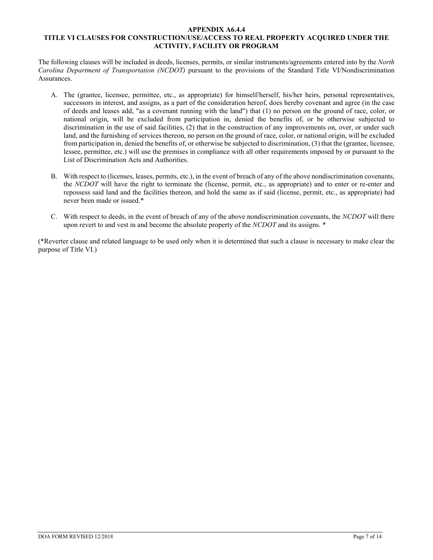#### **APPENDIX A6.4.4 TITLE VI CLAUSES FOR CONSTRUCTION/USE/ACCESS TO REAL PROPERTY ACQUIRED UNDER THE ACTIVITY, FACILITY OR PROGRAM**

The following clauses will be included in deeds, licenses, permits, or similar instruments/agreements entered into by the *North Carolina Department of Transportation (NCDOT)* pursuant to the provisions of the Standard Title VI/Nondiscrimination Assurances.

- A. The (grantee, licensee, permittee, etc., as appropriate) for himself/herself, his/her heirs, personal representatives, successors in interest, and assigns, as a part of the consideration hereof, does hereby covenant and agree (in the case of deeds and leases add, "as a covenant running with the land") that (1) no person on the ground of race, color, or national origin, will be excluded from participation in, denied the benefits of, or be otherwise subjected to discrimination in the use of said facilities, (2) that in the construction of any improvements on, over, or under such land, and the furnishing of services thereon, no person on the ground of race, color, or national origin, will be excluded from participation in, denied the benefits of, or otherwise be subjected to discrimination, (3) that the (grantee, licensee, lessee, permittee, etc.) will use the premises in compliance with all other requirements imposed by or pursuant to the List of Discrimination Acts and Authorities.
- B. With respect to (licenses, leases, permits, etc.), in the event of breach of any of the above nondiscrimination covenants, the *NCDOT* will have the right to terminate the (license, permit, etc., as appropriate) and to enter or re-enter and repossess said land and the facilities thereon, and hold the same as if said (license, permit, etc., as appropriate) had never been made or issued.\*
- C. With respect to deeds, in the event of breach of any of the above nondiscrimination covenants, the *NCDOT* will there upon revert to and vest in and become the absolute property of the *NCDOT* and its assigns. \*

(\*Reverter clause and related language to be used only when it is determined that such a clause is necessary to make clear the purpose of Title VI.)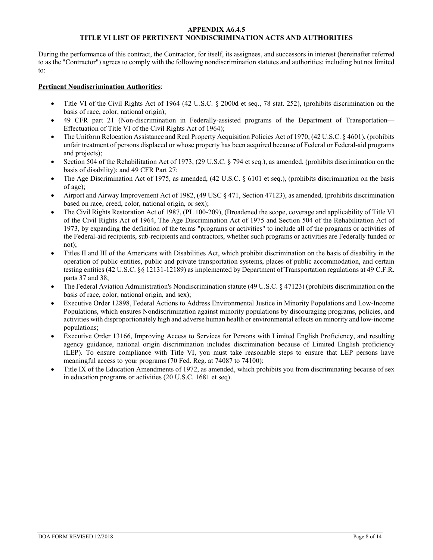#### **APPENDIX A6.4.5 TITLE VI LIST OF PERTINENT NONDISCRIMINATION ACTS AND AUTHORITIES**

During the performance of this contract, the Contractor, for itself, its assignees, and successors in interest (hereinafter referred to as the "Contractor") agrees to comply with the following nondiscrimination statutes and authorities; including but not limited to:

#### **Pertinent Nondiscrimination Authorities**:

- Title VI of the Civil Rights Act of 1964 (42 U.S.C. § 2000d et seq., 78 stat. 252), (prohibits discrimination on the basis of race, color, national origin);
- 49 CFR part 21 (Non-discrimination in Federally-assisted programs of the Department of Transportation— Effectuation of Title VI of the Civil Rights Act of 1964);
- The Uniform Relocation Assistance and Real Property Acquisition Policies Act of 1970, (42 U.S.C. § 4601), (prohibits unfair treatment of persons displaced or whose property has been acquired because of Federal or Federal-aid programs and projects);
- Section 504 of the Rehabilitation Act of 1973, (29 U.S.C. § 794 et seq.), as amended, (prohibits discrimination on the basis of disability); and 49 CFR Part 27;
- The Age Discrimination Act of 1975, as amended, (42 U.S.C. § 6101 et seq.), (prohibits discrimination on the basis of age);
- Airport and Airway Improvement Act of 1982, (49 USC § 471, Section 47123), as amended, (prohibits discrimination based on race, creed, color, national origin, or sex);
- The Civil Rights Restoration Act of 1987, (PL 100-209), (Broadened the scope, coverage and applicability of Title VI of the Civil Rights Act of 1964, The Age Discrimination Act of 1975 and Section 504 of the Rehabilitation Act of 1973, by expanding the definition of the terms "programs or activities" to include all of the programs or activities of the Federal-aid recipients, sub-recipients and contractors, whether such programs or activities are Federally funded or not);
- Titles II and III of the Americans with Disabilities Act, which prohibit discrimination on the basis of disability in the operation of public entities, public and private transportation systems, places of public accommodation, and certain testing entities (42 U.S.C. §§ 12131-12189) as implemented by Department of Transportation regulations at 49 C.F.R. parts 37 and 38;
- The Federal Aviation Administration's Nondiscrimination statute (49 U.S.C. § 47123) (prohibits discrimination on the basis of race, color, national origin, and sex);
- Executive Order 12898, Federal Actions to Address Environmental Justice in Minority Populations and Low-Income Populations, which ensures Nondiscrimination against minority populations by discouraging programs, policies, and activities with disproportionately high and adverse human health or environmental effects on minority and low-income populations;
- Executive Order 13166, Improving Access to Services for Persons with Limited English Proficiency, and resulting agency guidance, national origin discrimination includes discrimination because of Limited English proficiency (LEP). To ensure compliance with Title VI, you must take reasonable steps to ensure that LEP persons have meaningful access to your programs (70 Fed. Reg. at 74087 to 74100);
- Title IX of the Education Amendments of 1972, as amended, which prohibits you from discriminating because of sex in education programs or activities (20 U.S.C. 1681 et seq).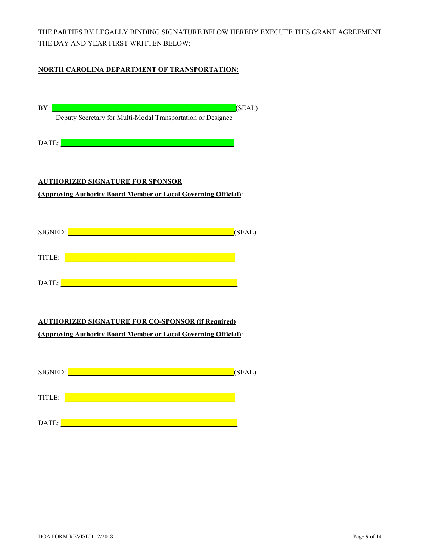THE PARTIES BY LEGALLY BINDING SIGNATURE BELOW HEREBY EXECUTE THIS GRANT AGREEMENT THE DAY AND YEAR FIRST WRITTEN BELOW:

## **NORTH CAROLINA DEPARTMENT OF TRANSPORTATION:**

| BY:<br>(SEAL)                                                                                                                                                                                                                                  |
|------------------------------------------------------------------------------------------------------------------------------------------------------------------------------------------------------------------------------------------------|
| Deputy Secretary for Multi-Modal Transportation or Designee                                                                                                                                                                                    |
| <u> 1989 - An Dùbhlachd ann an Dùbhlachd ann an Dùbhlachd ann an Dùbhlachd ann an Dùbhlachd ann an Dùbhlachd ann </u><br>DATE:                                                                                                                 |
|                                                                                                                                                                                                                                                |
|                                                                                                                                                                                                                                                |
| <b>AUTHORIZED SIGNATURE FOR SPONSOR</b>                                                                                                                                                                                                        |
| (Approving Authority Board Member or Local Governing Official):                                                                                                                                                                                |
|                                                                                                                                                                                                                                                |
| SIGNED: <b>Example 2019</b> SIGNED:                                                                                                                                                                                                            |
| (SEAL)                                                                                                                                                                                                                                         |
| TITLE: <u>Andrea Alexander and Alexander and Alexander and Alexander and Alexander and Alexander and Alexander and Alexander and Alexander and Alexander and Alexander and Alexander and Alexander and Alexander and Alexander a</u>           |
|                                                                                                                                                                                                                                                |
|                                                                                                                                                                                                                                                |
|                                                                                                                                                                                                                                                |
|                                                                                                                                                                                                                                                |
| <b>AUTHORIZED SIGNATURE FOR CO-SPONSOR (if Required)</b>                                                                                                                                                                                       |
| (Approving Authority Board Member or Local Governing Official):                                                                                                                                                                                |
|                                                                                                                                                                                                                                                |
| SIGNED: <u>New York and the second the second the second the second the second the second the second the second the second the second the second the second the second the second the second the second the second the second th</u><br>(SEAL) |
|                                                                                                                                                                                                                                                |
| <u> 1989 - Johann Barn, mars ar breithinn ar breithinn ar breithinn ar breithinn ar breithinn ar breithinn ar br</u><br>TITLE:                                                                                                                 |
|                                                                                                                                                                                                                                                |
| <u> 1989 - Jan Barnett, mars et al. 1989 - Anna anno 1989.</u><br>DATE:                                                                                                                                                                        |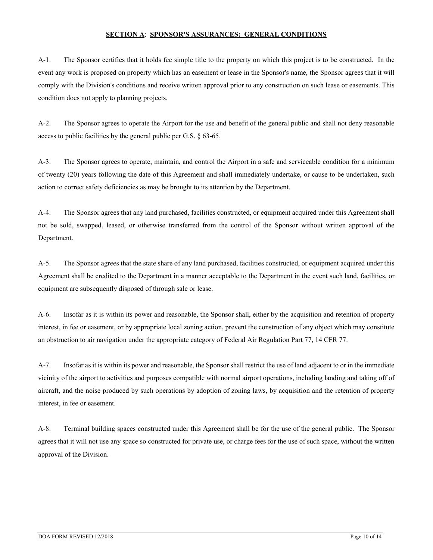#### **SECTION A**: **SPONSOR'S ASSURANCES: GENERAL CONDITIONS**

A-1. The Sponsor certifies that it holds fee simple title to the property on which this project is to be constructed. In the event any work is proposed on property which has an easement or lease in the Sponsor's name, the Sponsor agrees that it will comply with the Division's conditions and receive written approval prior to any construction on such lease or easements. This condition does not apply to planning projects.

A-2. The Sponsor agrees to operate the Airport for the use and benefit of the general public and shall not deny reasonable access to public facilities by the general public per G.S. § 63-65.

A-3. The Sponsor agrees to operate, maintain, and control the Airport in a safe and serviceable condition for a minimum of twenty (20) years following the date of this Agreement and shall immediately undertake, or cause to be undertaken, such action to correct safety deficiencies as may be brought to its attention by the Department.

A-4. The Sponsor agrees that any land purchased, facilities constructed, or equipment acquired under this Agreement shall not be sold, swapped, leased, or otherwise transferred from the control of the Sponsor without written approval of the Department.

A-5. The Sponsor agrees that the state share of any land purchased, facilities constructed, or equipment acquired under this Agreement shall be credited to the Department in a manner acceptable to the Department in the event such land, facilities, or equipment are subsequently disposed of through sale or lease.

A-6. Insofar as it is within its power and reasonable, the Sponsor shall, either by the acquisition and retention of property interest, in fee or easement, or by appropriate local zoning action, prevent the construction of any object which may constitute an obstruction to air navigation under the appropriate category of Federal Air Regulation Part 77, 14 CFR 77.

A-7. Insofar as it is within its power and reasonable, the Sponsor shall restrict the use of land adjacent to or in the immediate vicinity of the airport to activities and purposes compatible with normal airport operations, including landing and taking off of aircraft, and the noise produced by such operations by adoption of zoning laws, by acquisition and the retention of property interest, in fee or easement.

A-8. Terminal building spaces constructed under this Agreement shall be for the use of the general public. The Sponsor agrees that it will not use any space so constructed for private use, or charge fees for the use of such space, without the written approval of the Division.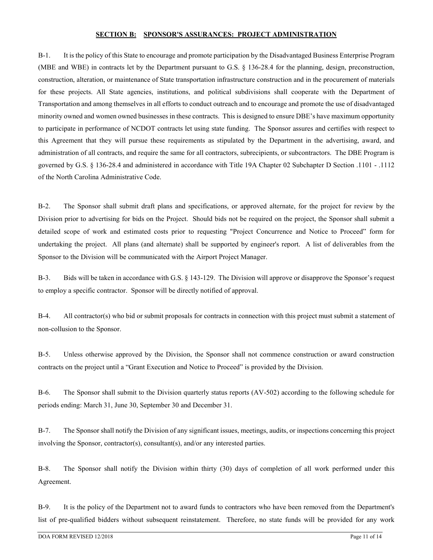#### **SECTION B: SPONSOR'S ASSURANCES: PROJECT ADMINISTRATION**

B-1. It is the policy of this State to encourage and promote participation by the Disadvantaged Business Enterprise Program (MBE and WBE) in contracts let by the Department pursuant to G.S. § 136-28.4 for the planning, design, preconstruction, construction, alteration, or maintenance of State transportation infrastructure construction and in the procurement of materials for these projects. All State agencies, institutions, and political subdivisions shall cooperate with the Department of Transportation and among themselves in all efforts to conduct outreach and to encourage and promote the use of disadvantaged minority owned and women owned businesses in these contracts. This is designed to ensure DBE's have maximum opportunity to participate in performance of NCDOT contracts let using state funding. The Sponsor assures and certifies with respect to this Agreement that they will pursue these requirements as stipulated by the Department in the advertising, award, and administration of all contracts, and require the same for all contractors, subrecipients, or subcontractors. The DBE Program is governed by G.S. § 136-28.4 and administered in accordance with Title 19A Chapter 02 Subchapter D Section .1101 - .1112 of the North Carolina Administrative Code.

B-2. The Sponsor shall submit draft plans and specifications, or approved alternate, for the project for review by the Division prior to advertising for bids on the Project. Should bids not be required on the project, the Sponsor shall submit a detailed scope of work and estimated costs prior to requesting "Project Concurrence and Notice to Proceed" form for undertaking the project. All plans (and alternate) shall be supported by engineer's report. A list of deliverables from the Sponsor to the Division will be communicated with the Airport Project Manager.

B-3. Bids will be taken in accordance with G.S. § 143-129. The Division will approve or disapprove the Sponsor's request to employ a specific contractor. Sponsor will be directly notified of approval.

B-4. All contractor(s) who bid or submit proposals for contracts in connection with this project must submit a statement of non-collusion to the Sponsor.

B-5. Unless otherwise approved by the Division, the Sponsor shall not commence construction or award construction contracts on the project until a "Grant Execution and Notice to Proceed" is provided by the Division.

B-6. The Sponsor shall submit to the Division quarterly status reports (AV-502) according to the following schedule for periods ending: March 31, June 30, September 30 and December 31.

B-7. The Sponsor shall notify the Division of any significant issues, meetings, audits, or inspections concerning this project involving the Sponsor, contractor(s), consultant(s), and/or any interested parties.

B-8. The Sponsor shall notify the Division within thirty (30) days of completion of all work performed under this Agreement.

B-9. It is the policy of the Department not to award funds to contractors who have been removed from the Department's list of pre-qualified bidders without subsequent reinstatement. Therefore, no state funds will be provided for any work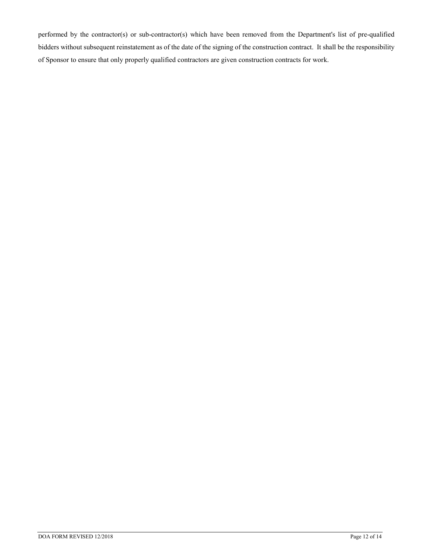performed by the contractor(s) or sub-contractor(s) which have been removed from the Department's list of pre-qualified bidders without subsequent reinstatement as of the date of the signing of the construction contract. It shall be the responsibility of Sponsor to ensure that only properly qualified contractors are given construction contracts for work.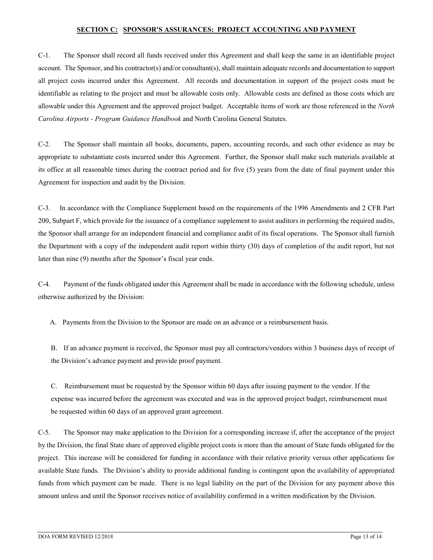#### **SECTION C: SPONSOR'S ASSURANCES: PROJECT ACCOUNTING AND PAYMENT**

C-1. The Sponsor shall record all funds received under this Agreement and shall keep the same in an identifiable project account. The Sponsor, and his contractor(s) and/or consultant(s), shall maintain adequate records and documentation to support all project costs incurred under this Agreement. All records and documentation in support of the project costs must be identifiable as relating to the project and must be allowable costs only. Allowable costs are defined as those costs which are allowable under this Agreement and the approved project budget. Acceptable items of work are those referenced in the *North Carolina Airports - Program Guidance Handbook* and North Carolina General Statutes.

C-2. The Sponsor shall maintain all books, documents, papers, accounting records, and such other evidence as may be appropriate to substantiate costs incurred under this Agreement. Further, the Sponsor shall make such materials available at its office at all reasonable times during the contract period and for five (5) years from the date of final payment under this Agreement for inspection and audit by the Division.

C-3. In accordance with the Compliance Supplement based on the requirements of the 1996 Amendments and 2 CFR Part 200, Subpart F, which provide for the issuance of a compliance supplement to assist auditors in performing the required audits, the Sponsor shall arrange for an independent financial and compliance audit of its fiscal operations. The Sponsor shall furnish the Department with a copy of the independent audit report within thirty (30) days of completion of the audit report, but not later than nine (9) months after the Sponsor's fiscal year ends.

C-4. Payment of the funds obligated under this Agreement shall be made in accordance with the following schedule, unless otherwise authorized by the Division:

A. Payments from the Division to the Sponsor are made on an advance or a reimbursement basis.

B. If an advance payment is received, the Sponsor must pay all contractors/vendors within 3 business days of receipt of the Division's advance payment and provide proof payment.

C. Reimbursement must be requested by the Sponsor within 60 days after issuing payment to the vendor. If the expense was incurred before the agreement was executed and was in the approved project budget, reimbursement must be requested within 60 days of an approved grant agreement.

C-5. The Sponsor may make application to the Division for a corresponding increase if, after the acceptance of the project by the Division, the final State share of approved eligible project costs is more than the amount of State funds obligated for the project. This increase will be considered for funding in accordance with their relative priority versus other applications for available State funds. The Division's ability to provide additional funding is contingent upon the availability of appropriated funds from which payment can be made. There is no legal liability on the part of the Division for any payment above this amount unless and until the Sponsor receives notice of availability confirmed in a written modification by the Division.